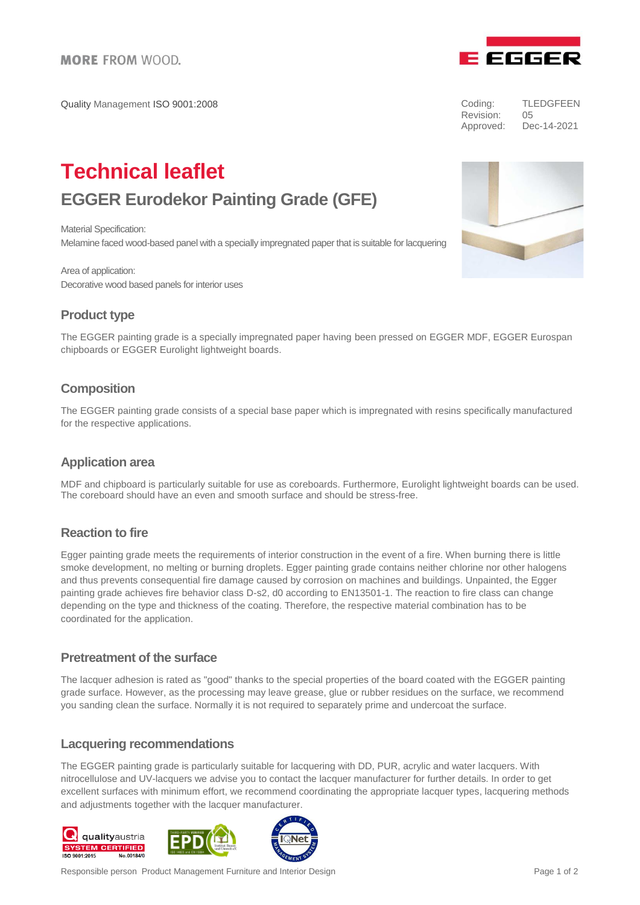Quality Management ISO 9001:2008



| Coding:   | TLEDGFEEN   |
|-----------|-------------|
| Revision: | 05          |
| Approved: | Dec-14-2021 |

# **Technical leaflet EGGER Eurodekor Painting Grade (GFE)**

Material Specification: Melamine faced wood-based panel with a specially impregnated paper that is suitable for lacquering

Area of application: Decorative wood based panels for interior uses

# **Product type**

The EGGER painting grade is a specially impregnated paper having been pressed on EGGER MDF, EGGER Eurospan chipboards or EGGER Eurolight lightweight boards.

# **Composition**

The EGGER painting grade consists of a special base paper which is impregnated with resins specifically manufactured for the respective applications.

# **Application area**

MDF and chipboard is particularly suitable for use as coreboards. Furthermore, Eurolight lightweight boards can be used. The coreboard should have an even and smooth surface and should be stress-free.

#### **Reaction to fire**

Egger painting grade meets the requirements of interior construction in the event of a fire. When burning there is little smoke development, no melting or burning droplets. Egger painting grade contains neither chlorine nor other halogens and thus prevents consequential fire damage caused by corrosion on machines and buildings. Unpainted, the Egger painting grade achieves fire behavior class D-s2, d0 according to EN13501-1. The reaction to fire class can change depending on the type and thickness of the coating. Therefore, the respective material combination has to be coordinated for the application.

#### **Pretreatment of the surface**

The lacquer adhesion is rated as "good" thanks to the special properties of the board coated with the EGGER painting grade surface. However, as the processing may leave grease, glue or rubber residues on the surface, we recommend you sanding clean the surface. Normally it is not required to separately prime and undercoat the surface.

#### **Lacquering recommendations**

The EGGER painting grade is particularly suitable for lacquering with DD, PUR, acrylic and water lacquers. With nitrocellulose and UV-lacquers we advise you to contact the lacquer manufacturer for further details. In order to get excellent surfaces with minimum effort, we recommend coordinating the appropriate lacquer types, lacquering methods and adjustments together with the lacquer manufacturer.